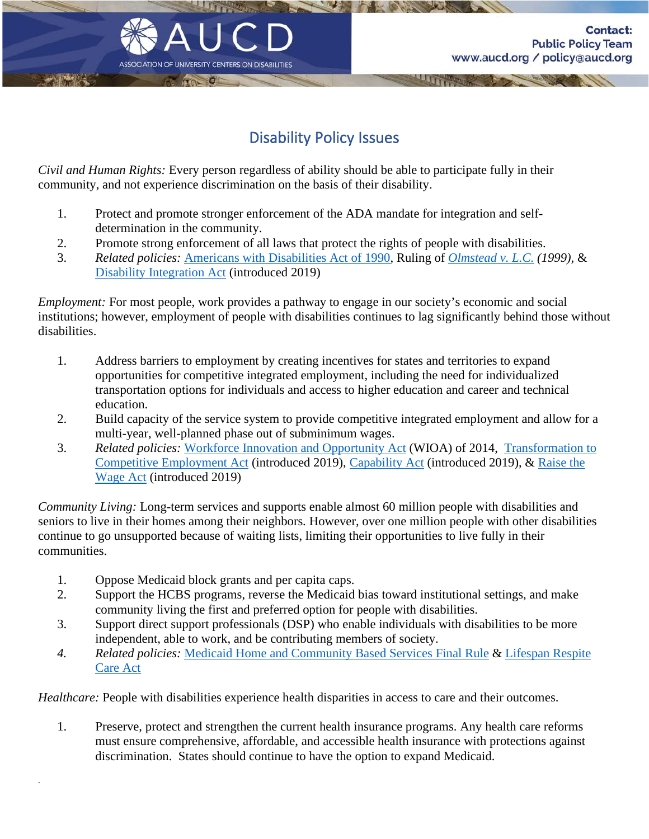

## Disability Policy Issues

*Civil and Human Rights:* Every person regardless of ability should be able to participate fully in their community, and not experience discrimination on the basis of their disability.

**/ERSITY CENTERS ON DISABILITIES** 

567

- 1. Protect and promote stronger enforcement of the ADA mandate for integration and selfdetermination in the community.
- 2. Promote strong enforcement of all laws that protect the rights of people with disabilities.
- 3. *Related policies:* [Americans with Disabilities Act of 1990,](https://www.aucd.org/template/page.cfm?id=309) Ruling of *[Olmstead v. L.C.](https://www.aucd.org/template/news.cfm?news_id=14168&parent=26&parent_title=News&url=/template/page.cfm?id%3D26) (1999),* & [Disability Integration Act](https://www.aucd.org/template/news.cfm?news_id=14264&parent=164&parent_title=Disability%20Policy%20News%20In%20Brief&url=/template/page.cfm?id%3D164) (introduced 2019)

*Employment:* For most people, work provides a pathway to engage in our society's economic and social institutions; however, employment of people with disabilities continues to lag significantly behind those without disabilities.

- 1. Address barriers to employment by creating incentives for states and territories to expand opportunities for competitive integrated employment, including the need for individualized transportation options for individuals and access to higher education and career and technical education.
- 2. Build capacity of the service system to provide competitive integrated employment and allow for a multi-year, well-planned phase out of subminimum wages.
- 3. *Related policies:* [Workforce Innovation and Opportunity Act](https://www.aucd.org/template/page.cfm?id=574) (WIOA) of 2014, [Transformation to](https://www.aucd.org/template/news.cfm?news_id=14249&parent=1068&parent_title=Disability%20Policy%20News%20In%20Brief%20Archive&url=/template/page.cfm?id%3D1068)  [Competitive Employment Act](https://www.aucd.org/template/news.cfm?news_id=14249&parent=1068&parent_title=Disability%20Policy%20News%20In%20Brief%20Archive&url=/template/page.cfm?id%3D1068) (introduced 2019), [Capability Act](https://www.aucd.org/template/page.cfm?id=574) (introduced 2019), & [Raise the](https://www.aucd.org/template/page.cfm?id=574)  [Wage Act](https://www.aucd.org/template/page.cfm?id=574) (introduced 2019)

*Community Living:* Long-term services and supports enable almost 60 million people with disabilities and seniors to live in their homes among their neighbors*.* However, over one million people with other disabilities continue to go unsupported because of waiting lists, limiting their opportunities to live fully in their communities.

1. Oppose Medicaid block grants and per capita caps.

.

- 2. Support the HCBS programs, reverse the Medicaid bias toward institutional settings, and make community living the first and preferred option for people with disabilities.
- 3. Support direct support professionals (DSP) who enable individuals with disabilities to be more independent, able to work, and be contributing members of society.
- *4. Related policies:* Medicaid Home [and Community Based Services Final Rule](https://www.aucd.org/template/page.cfm?id=267) & [Lifespan Respite](https://www.aucd.org/template/page.cfm?id=268)  [Care Act](https://www.aucd.org/template/page.cfm?id=268)

*Healthcare:* People with disabilities experience health disparities in access to care and their outcomes.

1. Preserve, protect and strengthen the current health insurance programs. Any health care reforms must ensure comprehensive, affordable, and accessible health insurance with protections against discrimination. States should continue to have the option to expand Medicaid.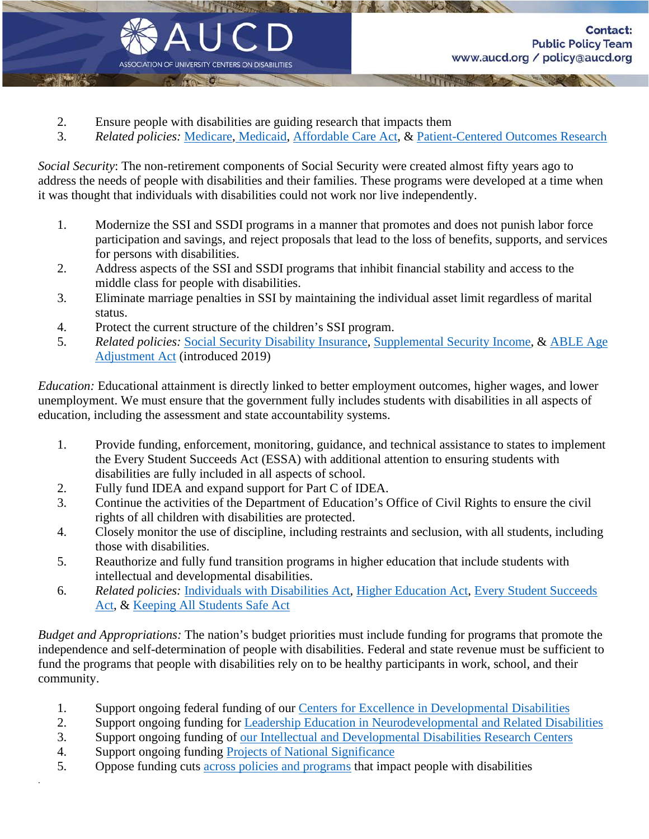

- 2. Ensure people with disabilities are guiding research that impacts them
- 3. *Related policies:* [Medicare,](https://www.cms.gov/Medicare/Medicare.html) [Medicaid,](https://www.aucd.org/template/page.cfm?id=277) [Affordable Care Act,](https://www.aucd.org/template/page.cfm?id=808) & [Patient-Centered Outcomes Research](https://reauthorizepcori.org/resources/)

*Social Security*: The non-retirement components of Social Security were created almost fifty years ago to address the needs of people with disabilities and their families. These programs were developed at a time when it was thought that individuals with disabilities could not work nor live independently.

- 1. Modernize the SSI and SSDI programs in a manner that promotes and does not punish labor force participation and savings, and reject proposals that lead to the loss of benefits, supports, and services for persons with disabilities.
- 2. Address aspects of the SSI and SSDI programs that inhibit financial stability and access to the middle class for people with disabilities.
- 3. Eliminate marriage penalties in SSI by maintaining the individual asset limit regardless of marital status.
- 4. Protect the current structure of the children's SSI program.
- 5. *Related policies:* [Social Security Disability Insurance, Supplemental Security Income,](https://www.aucd.org/template/page.cfm?id=278) & [ABLE Age](https://www.aucd.org/template/news.cfm?news_id=14233&parent=1068&parent_title=Disability%20Policy%20News%20In%20Brief%20Archive&url=/template/page.cfm?id%3D1068)  [Adjustment Act](https://www.aucd.org/template/news.cfm?news_id=14233&parent=1068&parent_title=Disability%20Policy%20News%20In%20Brief%20Archive&url=/template/page.cfm?id%3D1068) (introduced 2019)

*Education:* Educational attainment is directly linked to better employment outcomes, higher wages, and lower unemployment. We must ensure that the government fully includes students with disabilities in all aspects of education, including the assessment and state accountability systems.

- 1. Provide funding, enforcement, monitoring, guidance, and technical assistance to states to implement the Every Student Succeeds Act (ESSA) with additional attention to ensuring students with disabilities are fully included in all aspects of school.
- 2. Fully fund IDEA and expand support for Part C of IDEA.
- 3. Continue the activities of the Department of Education's Office of Civil Rights to ensure the civil rights of all children with disabilities are protected.
- 4. Closely monitor the use of discipline, including restraints and seclusion, with all students, including those with disabilities.
- 5. Reauthorize and fully fund transition programs in higher education that include students with intellectual and developmental disabilities.
- 6. *Related policies:* [Individuals with Disabilities Act, Higher Education Act, Every Student Succeeds](https://www.aucd.org/template/page.cfm?id=273)  [Act,](https://www.aucd.org/template/page.cfm?id=273) & [Keeping All Students Safe Act](https://www.aucd.org/docs/publications/policy/2019_0122_kassa.pdf)

*Budget and Appropriations:* The nation's budget priorities must include funding for programs that promote the independence and self-determination of people with disabilities. Federal and state revenue must be sufficient to fund the programs that people with disabilities rely on to be healthy participants in work, school, and their community.

- 1. Support ongoing federal funding of our [Centers for Excellence in Developmental Disabilities](https://www.aucd.org/docs/policy/FINAL%20UCEDD%20Issue%20Brief%20FY%202020_dr%20(002).pdf)
- 2. Support ongoing funding for [Leadership Education in Neurodevelopmental and Related Disabilities](https://www.aucd.org/docs/policy/FINAL%20LEND%20Issue%20Brief%20FY%202020.pdf)
- 3. Support ongoing funding of [our Intellectual and Developmental Disabilities Research Centers](https://www.aucd.org/template/page.cfm?id=257)
- 4. Support ongoing funding [Projects of National Significance](https://www.aucd.org/template/page.cfm?id=257)

.

5. Oppose funding cuts [across policies and](https://www.aucd.org/template/page.cfm?id=1101) programs that impact people with disabilities